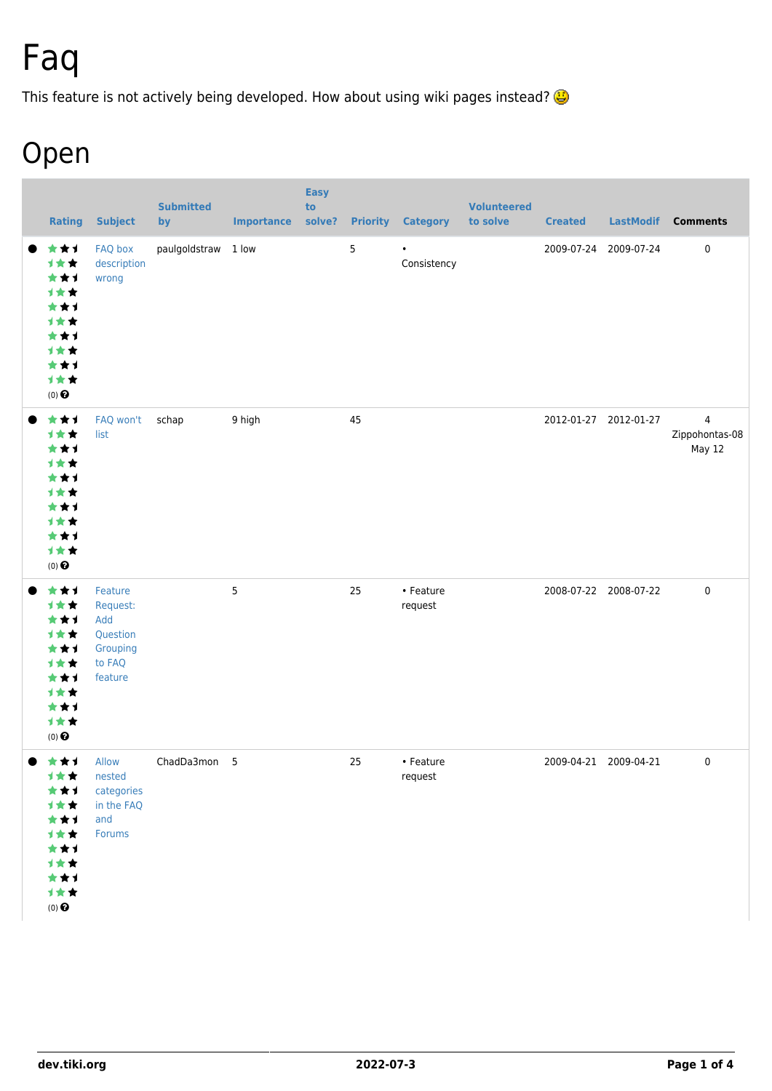# Faq

This feature is not actively being developed. How about using wiki pages instead?

## Open

| <b>Rating</b>                                                                              | <b>Subject</b>                                                          | <b>Submitted</b><br>by | <b>Importance solve?</b> | <b>Easy</b><br>to |    | <b>Priority Category</b> | <b>Volunteered</b><br>to solve | <b>Created</b> |                       | LastModif Comments                         |
|--------------------------------------------------------------------------------------------|-------------------------------------------------------------------------|------------------------|--------------------------|-------------------|----|--------------------------|--------------------------------|----------------|-----------------------|--------------------------------------------|
| ***<br>1**<br>***<br>计女女<br>***<br>计女女<br>***<br>计女女<br>***<br>计女女<br>$(0)$ $\bigodot$     | FAQ box<br>description<br>wrong                                         | paulgoldstraw 1 low    |                          |                   | 5  | $\bullet$<br>Consistency |                                |                | 2009-07-24 2009-07-24 | 0                                          |
| ***<br>1★★<br>***<br>计女女<br>***<br>计女女<br>***<br>计女女<br>***<br>计女女<br>$(0)$ $\bigodot$     | FAQ won't<br>list                                                       | schap                  | 9 high                   |                   | 45 |                          |                                |                | 2012-01-27 2012-01-27 | $\overline{4}$<br>Zippohontas-08<br>May 12 |
| ***<br>计女女<br>***<br>计女女<br>***<br>计女女<br>***<br>计女女<br>***<br>计女女<br>$(0)$ $\odot$        | Feature<br>Request:<br>Add<br>Question<br>Grouping<br>to FAQ<br>feature |                        | 5                        |                   | 25 | • Feature<br>request     |                                |                | 2008-07-22 2008-07-22 | $\pmb{0}$                                  |
| 大大士<br>计女女<br>★★1<br>计女女<br>***<br>计女女<br>***<br>1★★<br>***<br>计女女<br>$(0)$ $\pmb{\Theta}$ | Allow<br>nested<br>categories<br>in the FAQ<br>and<br>Forums            | ChadDa3mon 5           |                          |                   | 25 | • Feature<br>request     |                                |                | 2009-04-21 2009-04-21 | $\mathsf 0$                                |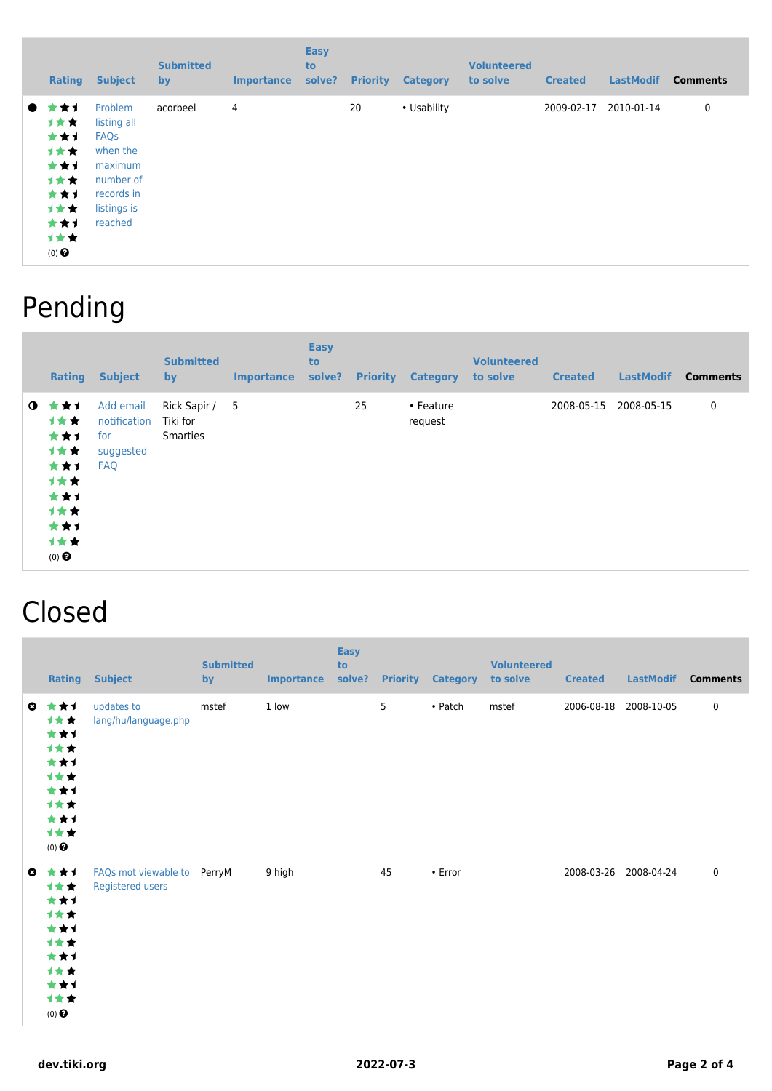|           | <b>Rating</b>                                                                                | <b>Subject</b>                                                                                                    | <b>Submitted</b><br>by | <b>Importance</b> | <b>Easy</b><br>to<br>solve? | <b>Priority</b> | <b>Category</b> | <b>Volunteered</b><br>to solve | <b>Created</b> | <b>LastModif</b> | <b>Comments</b> |
|-----------|----------------------------------------------------------------------------------------------|-------------------------------------------------------------------------------------------------------------------|------------------------|-------------------|-----------------------------|-----------------|-----------------|--------------------------------|----------------|------------------|-----------------|
| $\bullet$ | * * 1<br><b>1**</b><br>***<br>计女女<br>***<br>计女女<br>***<br>计女女<br>***<br>1★★<br>$(0)$ $\odot$ | Problem<br>listing all<br><b>FAQs</b><br>when the<br>maximum<br>number of<br>records in<br>listings is<br>reached | acorbeel               | 4                 |                             | 20              | • Usability     |                                | 2009-02-17     | 2010-01-14       | 0               |

### Pending

|             | Rating                                                                                     | <b>Subject</b>                                              | <b>Submitted</b><br>by                        | <b>Importance</b> | <b>Easy</b><br>to<br>solve? | <b>Priority</b> | <b>Category</b>      | <b>Volunteered</b><br>to solve | <b>Created</b> | <b>LastModif</b> | <b>Comments</b> |
|-------------|--------------------------------------------------------------------------------------------|-------------------------------------------------------------|-----------------------------------------------|-------------------|-----------------------------|-----------------|----------------------|--------------------------------|----------------|------------------|-----------------|
| $\mathbf 0$ | ***<br><b>1**</b><br>***<br>计女女<br>***<br>计女女<br>***<br>计女女<br>***<br>计女女<br>$(0)$ $\odot$ | Add email<br>notification<br>for<br>suggested<br><b>FAQ</b> | Rick Sapir / 5<br>Tiki for<br><b>Smarties</b> |                   |                             | 25              | • Feature<br>request |                                | 2008-05-15     | 2008-05-15       | 0               |

### Closed

|           | <b>Rating</b>                                                                       | <b>Subject</b>                                  | <b>Submitted</b><br>by | <b>Importance</b> | <b>Easy</b><br>to<br>solve? | <b>Priority</b> | <b>Category</b> | <b>Volunteered</b><br>to solve | <b>Created</b>        | <b>LastModif</b> | <b>Comments</b> |
|-----------|-------------------------------------------------------------------------------------|-------------------------------------------------|------------------------|-------------------|-----------------------------|-----------------|-----------------|--------------------------------|-----------------------|------------------|-----------------|
| $\bullet$ | ***<br>计女女<br>***<br>计女女<br>***<br>计女女<br>***<br>计女女<br>***<br>计女女<br>$(0)$ $\odot$ | updates to<br>lang/hu/language.php              | mstef                  | 1 low             |                             | 5               | • Patch         | mstef                          | 2006-08-18 2008-10-05 |                  | $\mathbf 0$     |
| $\bullet$ | ***<br>计女女<br>***<br>计女女<br>***<br>计女女<br>***<br>计女女<br>***<br>计女女<br>$(0)$ $\odot$ | FAQs mot viewable to PerryM<br>Registered users |                        | 9 high            |                             | 45              | $\bullet$ Error |                                | 2008-03-26 2008-04-24 |                  | $\mathbf 0$     |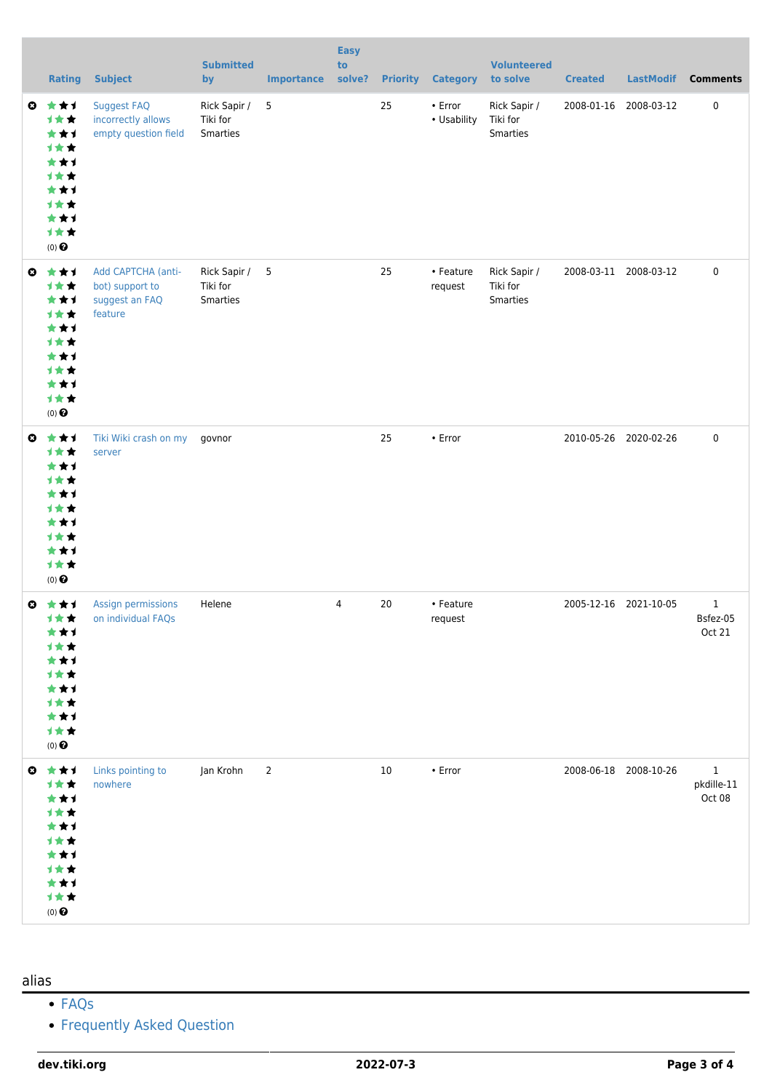|           | <b>Rating</b>                                                                                   | <b>Subject</b>                                                     | <b>Submitted</b><br>by               | <b>Importance</b> | <b>Easy</b><br>to<br>solve? | <b>Priority</b> | <b>Category</b>              | <b>Volunteered</b><br>to solve       | <b>Created</b> | <b>LastModif</b>      | <b>Comments</b>                      |
|-----------|-------------------------------------------------------------------------------------------------|--------------------------------------------------------------------|--------------------------------------|-------------------|-----------------------------|-----------------|------------------------------|--------------------------------------|----------------|-----------------------|--------------------------------------|
| $\bullet$ | ***<br>1女女<br>***<br>计女女<br>***<br>计女女<br>***<br><b>1**</b><br>***<br>计女女<br>$(0)$ $\odot$      | Suggest FAQ<br>incorrectly allows<br>empty question field          | Rick Sapir /<br>Tiki for<br>Smarties | 5                 |                             | 25              | $\cdot$ Error<br>• Usability | Rick Sapir /<br>Tiki for<br>Smarties |                | 2008-01-16 2008-03-12 | $\pmb{0}$                            |
| $\bullet$ | 女女子<br>计女女<br>***<br>计女女<br>***<br>计女女<br>***<br>计女女<br>***<br>计女女<br>$(0)$ $\odot$             | Add CAPTCHA (anti-<br>bot) support to<br>suggest an FAQ<br>feature | Rick Sapir /<br>Tiki for<br>Smarties | 5                 |                             | 25              | • Feature<br>request         | Rick Sapir /<br>Tiki for<br>Smarties |                | 2008-03-11 2008-03-12 | $\pmb{0}$                            |
| $\bullet$ | 女女子<br>计女女<br>***<br>计女女<br>***<br>计女女<br>***<br>计女女<br>***<br>1★★<br>$(0)$<br>$\pmb{\Theta}$   | Tiki Wiki crash on my<br>server                                    | govnor                               |                   |                             | 25              | • Error                      |                                      |                | 2010-05-26 2020-02-26 | $\pmb{0}$                            |
|           | ◎ ★★★<br>1★★<br>***<br><b>1 ★ ★</b><br>★★1<br>计女女<br>***<br>计女女<br>***<br>计女女<br>$(0)$ $\odot$  | Assign permissions<br>on individual FAQs                           | Helene                               |                   | 4                           | 20              | • Feature<br>request         |                                      |                | 2005-12-16 2021-10-05 | $\mathbf{1}$<br>Bsfez-05<br>Oct 21   |
|           | ◎ ★★1<br>计女女<br>***<br>计女女<br>***<br>计女女<br>***<br>计女女<br>***<br>计女女<br>$(0)$<br>$\pmb{\Theta}$ | Links pointing to<br>nowhere                                       | Jan Krohn                            | $\overline{2}$    |                             | 10              | $\cdot$ Error                |                                      |                | 2008-06-18 2008-10-26 | $\mathbf{1}$<br>pkdille-11<br>Oct 08 |

#### alias

- [FAQs](https://dev.tiki.org/FAQs)
- [Frequently Asked Question](https://dev.tiki.org/Frequently-Asked-Question)